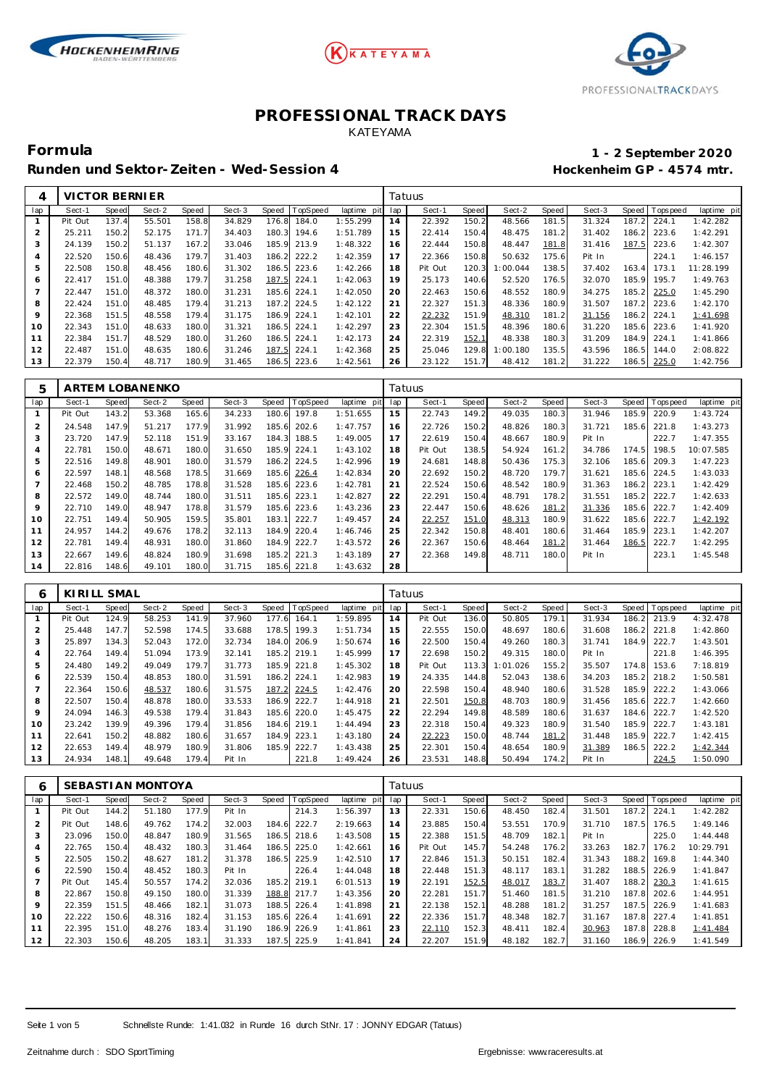





**Formula 1 - 2 September 2020**

Runden und Sektor-Zeiten - Wed-Session 4 **Behannen auch der Einer Freiere** Hockenheim GP - 4574 mtr.

| 4   | VICTOR BERNIER |              |        |       |        |       |             |             | Tatuus |         |       |          |       |        |       |            |             |
|-----|----------------|--------------|--------|-------|--------|-------|-------------|-------------|--------|---------|-------|----------|-------|--------|-------|------------|-------------|
| lap | Sect-1         | <b>Speed</b> | Sect-2 | Speed | Sect-3 | Speed | TopSpeed    | laptime pit | lap    | Sect-1  | Speed | Sect-2   | Speed | Sect-3 | Speed | Tops pee d | laptime pit |
|     | Pit Out        | 137.4        | 55.501 | 158.8 | 34.829 | 176.8 | 184.0       | 1:55.299    | 14     | 22.392  | 150.2 | 48.566   | 181.5 | 31.324 | 187.2 | 224.1      | 1:42.282    |
| 2   | 25.211         | 150.2        | 52.175 | 171.7 | 34.403 | 180.3 | 194.6       | 1:51.789    | 15     | 22.414  | 150.4 | 48.475   | 181.2 | 31.402 | 186.2 | 223.6      | 1:42.291    |
| 3   | 24.139         | 150.2        | 51.137 | 167.2 | 33.046 |       | 185.9 213.9 | 1:48.322    | 16     | 22.444  | 150.8 | 48.447   | 181.8 | 31.416 | 187.5 | 223.6      | 1:42.307    |
| 4   | 22.520         | 150.6        | 48.436 | 179.7 | 31.403 | 186.2 | 222.2       | 1:42.359    | 17     | 22.366  | 150.8 | 50.632   | 175.6 | Pit In |       | 224.1      | 1:46.157    |
| 5   | 22.508         | 150.8        | 48.456 | 180.6 | 31.302 | 186.5 | 223.6       | 1:42.266    | 18     | Pit Out | 120.3 | 1:00.044 | 138.5 | 37.402 | 163.4 | 173.1      | 11:28.199   |
| 6   | 22.417         | 151.0        | 48.388 | 179.7 | 31.258 | 187.5 | 224.1       | 1:42.063    | 19     | 25.173  | 140.6 | 52.520   | 176.5 | 32.070 | 185.9 | 195.7      | 1:49.763    |
|     | 22.447         | 151.0        | 48.372 | 180.0 | 31.231 | 185.6 | 224.1       | 1:42.050    | 20     | 22.463  | 150.6 | 48.552   | 180.9 | 34.275 | 185.2 | 225.0      | 1:45.290    |
| 8   | 22.424         | 151.0        | 48.485 | 179.4 | 31.213 | 187.2 | 224.5       | 1:42.122    | 21     | 22.327  | 151.3 | 48.336   | 180.9 | 31.507 | 187.2 | 223.6      | 1:42.170    |
| 9   | 22.368         | 151.5        | 48.558 | 179.4 | 31.175 | 186.9 | 224.1       | 1:42.101    | 22     | 22.232  | 151.9 | 48.310   | 181.2 | 31.156 | 186.2 | 224.1      | 1:41.698    |
| 10  | 22.343         | 151.0        | 48.633 | 180.0 | 31.321 | 186.5 | 224.1       | 1:42.297    | 23     | 22.304  | 151.5 | 48.396   | 180.6 | 31.220 | 185.6 | 223.6      | 1:41.920    |
|     | 22.384         | 151.7        | 48.529 | 180.0 | 31.260 | 186.5 | 224.1       | 1:42.173    | 24     | 22.319  | 152.1 | 48.338   | 180.3 | 31.209 | 184.9 | 224.1      | 1:41.866    |
| 12  | 22.487         | 151.0        | 48.635 | 180.6 | 31.246 | 187.5 | 224.1       | 1:42.368    | 25     | 25.046  | 129.8 | 1:00.180 | 135.5 | 43.596 | 186.5 | 144.0      | 2:08.822    |
| 13  | 22.379         | 150.4        | 48.717 | 180.9 | 31.465 | 186.5 | 223.6       | 1:42.561    | 26     | 23.122  | 151.7 | 48.412   | 181.2 | 31.222 | 186.5 | 225.0      | 1:42.756    |

| 5              |         |       | ARTEM LOBANENKO |       |        |       |             |                | Tatuus |         |       |        |       |        |       |            |             |
|----------------|---------|-------|-----------------|-------|--------|-------|-------------|----------------|--------|---------|-------|--------|-------|--------|-------|------------|-------------|
| lap            | Sect-1  | Speed | Sect-2          | Speed | Sect-3 | Speed | TopSpeed    | laptime<br>pit | lap    | Sect-1  | Speed | Sect-2 | Speed | Sect-3 | Speed | J Topspeed | laptime pit |
|                | Pit Out | 143.2 | 53.368          | 165.6 | 34.233 | 180.6 | 197.8       | 1:51.655       | 15     | 22.743  | 149.2 | 49.035 | 180.3 | 31.946 | 185.9 | 220.9      | 1:43.724    |
| $\overline{2}$ | 24.548  | 147.9 | 51.217          | 177.9 | 31.992 | 185.6 | 202.6       | 1:47.757       | 16     | 22.726  | 150.2 | 48.826 | 180.3 | 31.721 | 185.6 | 221.8      | 1:43.273    |
| 3              | 23.720  | 147.9 | 52.118          | 151.9 | 33.167 | 184.3 | 188.5       | 1:49.005       | 17     | 22.619  | 150.4 | 48.667 | 180.9 | Pit In |       | 222.7      | 1:47.355    |
| 4              | 22.781  | 150.0 | 48.671          | 180.0 | 31.650 | 185.9 | 224.1       | 1:43.102       | 18     | Pit Out | 138.5 | 54.924 | 161.2 | 34.786 | 174.5 | 198.5      | 10:07.585   |
| 5              | 22.516  | 149.8 | 48.901          | 180.0 | 31.579 | 186.2 | 224.5       | 1:42.996       | 19     | 24.681  | 148.8 | 50.436 | 175.3 | 32.106 | 185.6 | 209.3      | 1:47.223    |
| 6              | 22.597  | 148.1 | 48.568          | 178.5 | 31.669 | 185.6 | 226.4       | 1:42.834       | 20     | 22.692  | 150.2 | 48.720 | 179.7 | 31.621 | 185.6 | 224.5      | 1:43.033    |
|                | 22.468  | 150.2 | 48.785          | 178.8 | 31.528 | 185.6 | 223.6       | 1:42.781       | 21     | 22.524  | 150.6 | 48.542 | 180.9 | 31.363 | 186.2 | 223.1      | 1:42.429    |
| 8              | 22.572  | 149.0 | 48.744          | 180.0 | 31.511 | 185.6 | 223.1       | 1:42.827       | 22     | 22.291  | 150.4 | 48.791 | 178.2 | 31.551 | 185.2 | 222.7      | 1:42.633    |
| 9              | 22.710  | 149.0 | 48.947          | 178.8 | 31.579 | 185.6 | 223.6       | 1:43.236       | 23     | 22.447  | 150.6 | 48.626 | 181.2 | 31.336 | 185.6 | 222.7      | 1:42.409    |
| 10             | 22.751  | 149.4 | 50.905          | 159.5 | 35.801 | 183.1 | 222.7       | 1:49.457       | 24     | 22.257  | 151.0 | 48.313 | 180.9 | 31.622 | 185.6 | 222.7      | 1:42.192    |
| 11             | 24.957  | 144.2 | 49.676          | 178.2 | 32.113 | 184.9 | 220.4       | 1:46.746       | 25     | 22.342  | 150.8 | 48.401 | 180.6 | 31.464 | 185.9 | 223.1      | 1:42.207    |
| 12             | 22.781  | 149.4 | 48.931          | 180.0 | 31.860 | 184.9 | 222.7       | 1:43.572       | 26     | 22.367  | 150.6 | 48.464 | 181.2 | 31.464 | 186.5 | 222.7      | 1:42.295    |
| 13             | 22.667  | 149.6 | 48.824          | 180.9 | 31.698 | 185.2 | 221.3       | 1:43.189       | 27     | 22.368  | 149.8 | 48.711 | 180.0 | Pit In |       | 223.1      | 1:45.548    |
| 14             | 22.816  | 148.6 | 49.101          | 180.0 | 31.715 |       | 185.6 221.8 | 1:43.632       | 28     |         |       |        |       |        |       |            |             |

| 6   | KIRILL SMAL |              |        |       |        |       |                 |             | Tatuus |         |       |          |       |        |       |                 |             |
|-----|-------------|--------------|--------|-------|--------|-------|-----------------|-------------|--------|---------|-------|----------|-------|--------|-------|-----------------|-------------|
| lap | Sect-1      | <b>Speed</b> | Sect-2 | Speed | Sect-3 | Speed | <b>TopSpeed</b> | laptime pit | lap    | Sect-1  | Speed | Sect-2   | Speed | Sect-3 |       | Speed Tops peed | laptime pit |
|     | Pit Out     | 124.9        | 58.253 | 141.9 | 37.960 | 177.6 | 164.1           | 1:59.895    | 14     | Pit Out | 136.0 | 50.805   | 179.1 | 31.934 | 186.2 | 213.9           | 4:32.478    |
|     | 25.448      | 147.7        | 52.598 | 174.5 | 33.688 | 178.5 | 199.3           | 1:51.734    | 15     | 22.555  | 150.0 | 48.697   | 180.6 | 31.608 | 186.2 | 221.8           | 1:42.860    |
| 3   | 25.897      | 134.3        | 52.043 | 172.0 | 32.734 | 184.0 | 206.9           | 1:50.674    | 16     | 22.500  | 150.4 | 49.260   | 180.3 | 31.741 | 184.9 | 222.7           | 1:43.501    |
|     | 22.764      | 149.4        | 51.094 | 173.9 | 32.141 | 185.2 | 219.1           | 1:45.999    | 17     | 22.698  | 150.2 | 49.315   | 180.0 | Pit In |       | 221.8           | 1:46.395    |
| 5   | 24.480      | 149.2        | 49.049 | 179.7 | 31.773 |       | 185.9 221.8     | 1:45.302    | 18     | Pit Out | 113.3 | 1:01.026 | 155.2 | 35.507 | 174.8 | 153.6           | 7:18.819    |
| 6   | 22.539      | 150.4        | 48.853 | 180.0 | 31.591 | 186.2 | 224.1           | 1:42.983    | 19     | 24.335  | 144.8 | 52.043   | 138.6 | 34.203 | 185.2 | 218.2           | 1:50.581    |
|     | 22.364      | 150.6        | 48.537 | 180.6 | 31.575 | 187.2 | 224.5           | 1:42.476    | 20     | 22.598  | 150.4 | 48.940   | 180.6 | 31.528 | 185.9 | 222.2           | 1:43.066    |
| 8   | 22.507      | 150.4        | 48.878 | 180.0 | 33.533 | 186.9 | 222.7           | 1:44.918    | 21     | 22.501  | 150.8 | 48.703   | 180.9 | 31.456 | 185.6 | 222.7           | 1:42.660    |
| 9   | 24.094      | 146.3        | 49.538 | 179.4 | 31.843 | 185.6 | 220.0           | 1:45.475    | 22     | 22.294  | 149.8 | 48.589   | 180.6 | 31.637 | 184.6 | 222.7           | 1:42.520    |
| 10  | 23.242      | 139.9        | 49.396 | 179.4 | 31.856 | 184.6 | 219.1           | 1:44.494    | 23     | 22.318  | 150.4 | 49.323   | 180.9 | 31.540 | 185.9 | 222.7           | 1:43.181    |
|     | 22.641      | 150.2        | 48.882 | 180.6 | 31.657 | 184.9 | 223.1           | 1:43.180    | 24     | 22.223  | 150.0 | 48.744   | 181.2 | 31.448 | 185.9 | 222.7           | 1:42.415    |
| 12  | 22.653      | 149.4        | 48.979 | 180.9 | 31.806 | 185.9 | 222.7           | 1:43.438    | 25     | 22.301  | 150.4 | 48.654   | 180.9 | 31.389 | 186.5 | 222.2           | 1:42.344    |
| 13  | 24.934      | 148.1        | 49.648 | 179.4 | Pit In |       | 221.8           | 1:49.424    | 26     | 23.531  | 148.8 | 50.494   | 174.2 | Pit In |       | 224.5           | 1:50.090    |

| 6               |         |       | SEBASTIAN MONTOYA |       |        |       |          |                | Tatuus |         |       |        |       |        |       |           |             |
|-----------------|---------|-------|-------------------|-------|--------|-------|----------|----------------|--------|---------|-------|--------|-------|--------|-------|-----------|-------------|
| lap             | Sect-1  | Speed | Sect-2            | Speed | Sect-3 | Speed | TopSpeed | laptime<br>pit | lap    | Sect-1  | Speed | Sect-2 | Speed | Sect-3 | Speed | Tops peed | laptime pit |
|                 | Pit Out | 144.2 | 51.180            | 177.9 | Pit In |       | 214.3    | 1:56.397       | 13     | 22.331  | 150.6 | 48.450 | 182.4 | 31.501 | 187.2 | 224.1     | 1:42.282    |
| 2               | Pit Out | 148.6 | 49.762            | 174.2 | 32.003 | 184.6 | 222.7    | 2:19.663       | 14     | 23.885  | 150.4 | 53.551 | 170.9 | 31.710 | 187.5 | 176.5     | 1:49.146    |
| 3               | 23.096  | 150.0 | 48.847            | 180.9 | 31.565 | 186.5 | 218.6    | 1:43.508       | 15     | 22.388  | 151.5 | 48.709 | 182.1 | Pit In |       | 225.0     | 1:44.448    |
| 4               | 22.765  | 150.4 | 48.432            | 180.3 | 31.464 | 186.5 | 225.0    | 1:42.661       | 16     | Pit Out | 145.7 | 54.248 | 176.2 | 33.263 | 182.7 | 176.2     | 10:29.791   |
| 5               | 22.505  | 150.2 | 48.627            | 181.2 | 31.378 | 186.5 | 225.9    | 1:42.510       | 17     | 22.846  | 151.3 | 50.151 | 182.4 | 31.343 | 188.2 | 169.8     | 1:44.340    |
| 6               | 22.590  | 150.4 | 48.452            | 180.3 | Pit In |       | 226.4    | 1:44.048       | 18     | 22.448  | 151.3 | 48.117 | 183.1 | 31.282 | 188.5 | 226.9     | 1:41.847    |
|                 | Pit Out | 145.4 | 50.557            | 174.2 | 32.036 | 185.2 | 219.1    | 6:01.513       | 19     | 22.191  | 152.5 | 48.017 | 183.7 | 31.407 | 188.2 | 230.3     | 1:41.615    |
| 8               | 22.867  | 150.8 | 49.150            | 180.0 | 31.339 | 188.8 | 217.7    | 1:43.356       | 20     | 22.281  | 151.7 | 51.460 | 181.5 | 31.210 | 187.8 | 202.6     | 1:44.951    |
| 9               | 22.359  | 151.5 | 48.466            | 182.1 | 31.073 | 188.5 | 226.4    | 1:41.898       | 21     | 22.138  | 152.1 | 48.288 | 181.2 | 31.257 | 187.5 | 226.9     | 1:41.683    |
| 10 <sup>°</sup> | 22.222  | 150.6 | 48.316            | 182.4 | 31.153 | 185.6 | 226.4    | 1:41.691       | 22     | 22.336  | 151.7 | 48.348 | 182.7 | 31.167 | 187.8 | 227.4     | 1:41.851    |
| 11              | 22.395  | 151.0 | 48.276            | 183.4 | 31.190 | 186.9 | 226.9    | 1:41.861       | 23     | 22.110  | 152.3 | 48.411 | 182.4 | 30.963 | 187.8 | 228.8     | 1:41.484    |
| 12              | 22.303  | 150.6 | 48.205            | 183.1 | 31.333 | 187.5 | 225.9    | 1:41.841       | 24     | 22.207  | 151.9 | 48.182 | 182.7 | 31.160 | 186.9 | 226.9     | 1:41.549    |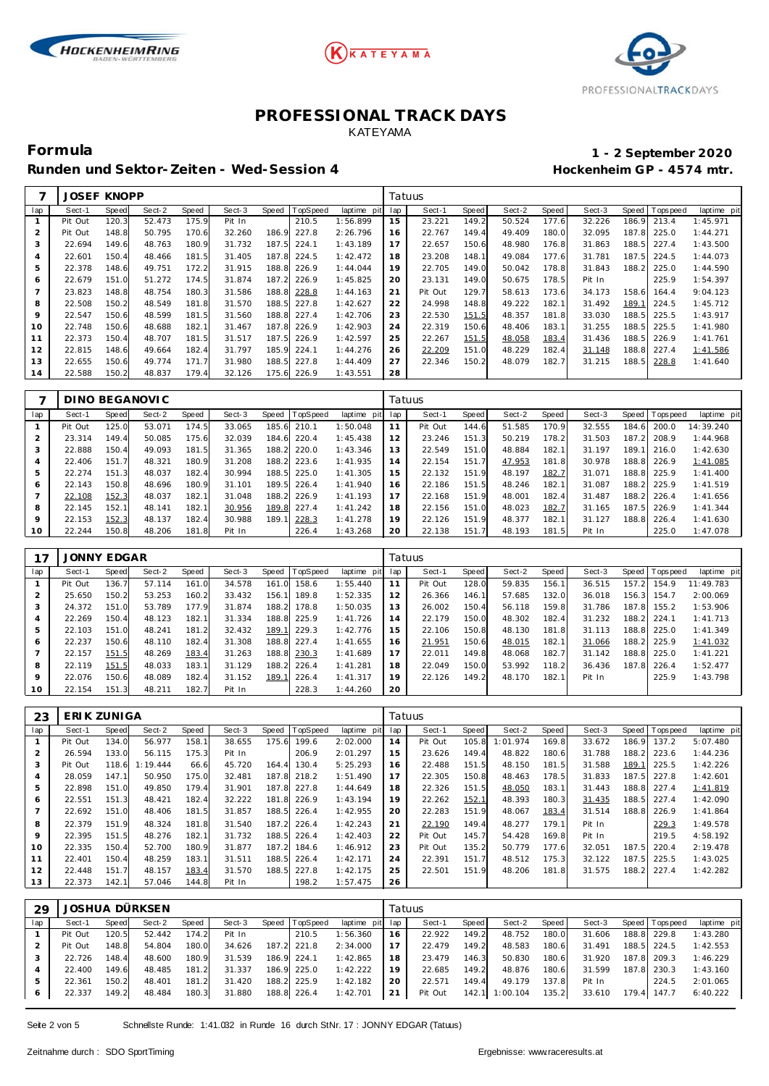





Runden und Sektor-Zeiten - Wed-Session 4 **Behannen auch der Einer Freiere** Hockenheim GP - 4574 mtr.

# **Formula 1 - 2 September 2020**

|                | <b>JOSEF KNOPP</b> |       |        |       |        |       |                 |             | Tatuus |         |       |        |       |        |       |                 |             |
|----------------|--------------------|-------|--------|-------|--------|-------|-----------------|-------------|--------|---------|-------|--------|-------|--------|-------|-----------------|-------------|
| lap            | Sect-1             | Speed | Sect-2 | Speed | Sect-3 | Speed | <b>TopSpeed</b> | laptime pit | lap    | Sect-1  | Speed | Sect-2 | Speed | Sect-3 |       | Speed Tops peed | laptime pit |
| 1              | Pit Out            | 120.3 | 52.473 | 175.9 | Pit In |       | 210.5           | 1:56.899    | 15     | 23.221  | 149.2 | 50.524 | 177.6 | 32.226 | 186.9 | 213.4           | 1:45.971    |
| 2              | Pit Out            | 148.8 | 50.795 | 170.6 | 32.260 | 186.9 | 227.8           | 2:26.796    | 16     | 22.767  | 149.4 | 49.409 | 180.0 | 32.095 | 187.8 | 225.0           | 1:44.271    |
| 3              | 22.694             | 149.6 | 48.763 | 180.9 | 31.732 | 187.5 | 224.1           | 1:43.189    | 17     | 22.657  | 150.6 | 48.980 | 176.8 | 31.863 | 188.5 | 227.4           | 1:43.500    |
| 4              | 22.601             | 150.4 | 48.466 | 181.5 | 31.405 | 187.8 | 224.5           | 1:42.472    | 18     | 23.208  | 148.1 | 49.084 | 177.6 | 31.781 | 187.5 | 224.5           | 1:44.073    |
| 5              | 22.378             | 148.6 | 49.751 | 172.2 | 31.915 | 188.8 | 226.9           | 1:44.044    | 19     | 22.705  | 149.0 | 50.042 | 178.8 | 31.843 | 188.2 | 225.0           | 1:44.590    |
| 6              | 22.679             | 151.0 | 51.272 | 174.5 | 31.874 | 187.2 | 226.9           | 1:45.825    | 20     | 23.131  | 149.0 | 50.675 | 178.5 | Pit In |       | 225.9           | 1:54.397    |
| $\overline{7}$ | 23.823             | 148.8 | 48.754 | 180.3 | 31.586 | 188.8 | 228.8           | 1:44.163    | 21     | Pit Out | 129.7 | 58.613 | 173.6 | 34.173 | 158.6 | 164.4           | 9:04.123    |
| 8              | 22.508             | 150.2 | 48.549 | 181.8 | 31.570 | 188.5 | 227.8           | 1:42.627    | 22     | 24.998  | 148.8 | 49.222 | 182.1 | 31.492 | 189.  | 224.5           | 1:45.712    |
| 9              | 22.547             | 150.6 | 48.599 | 181.5 | 31.560 | 188.8 | 227.4           | 1:42.706    | 23     | 22.530  | 151.5 | 48.357 | 181.8 | 33.030 | 188.5 | 225.5           | 1:43.917    |
| 10             | 22.748             | 150.6 | 48.688 | 182.1 | 31.467 | 187.8 | 226.9           | 1:42.903    | 24     | 22.319  | 150.6 | 48.406 | 183.1 | 31.255 | 188.5 | 225.5           | 1:41.980    |
| 11             | 22.373             | 150.4 | 48.707 | 181.5 | 31.517 | 187.5 | 226.9           | 1:42.597    | 25     | 22.267  | 151.5 | 48.058 | 183.4 | 31.436 | 188.5 | 226.9           | 1:41.761    |
| 12             | 22.815             | 148.6 | 49.664 | 182.4 | 31.797 | 185.9 | 224.1           | 1:44.276    | 26     | 22.209  | 151.0 | 48.229 | 182.4 | 31.148 | 188.8 | 227.4           | 1:41.586    |
| 13             | 22.655             | 150.6 | 49.774 | 171.7 | 31.980 | 188.5 | 227.8           | 1:44.409    | 27     | 22.346  | 150.2 | 48.079 | 182.7 | 31.215 | 188.5 | 228.8           | 1:41.640    |
| 14             | 22.588             | 150.2 | 48.837 | 179.4 | 32.126 | 175.6 | 226.9           | 1:43.551    | 28     |         |       |        |       |        |       |                 |             |

|         |         |       | DINO BEGANOVIC |       |        |       |                 |                |     | Tatuus  |       |        |       |        |       |                 |             |
|---------|---------|-------|----------------|-------|--------|-------|-----------------|----------------|-----|---------|-------|--------|-------|--------|-------|-----------------|-------------|
| lap     | Sect-1  | Speed | Sect-2         | Speed | Sect-3 | Speed | <b>TopSpeed</b> | laptime<br>pit | lap | Sect-1  | Speed | Sect-2 | Speed | Sect-3 |       | Speed Tops peed | laptime pit |
|         | Pit Out | 125.0 | 53.071         | 174.5 | 33.065 | 185.6 | 210.1           | 1:50.048       |     | Pit Out | 144.6 | 51.585 | 170.9 | 32.555 | 184.6 | 200.0           | 14:39.240   |
|         | 23.314  | 149.4 | 50.085         | 175.6 | 32.039 | 184.6 | 220.4           | 1:45.438       | 12  | 23.246  | 151.3 | 50.219 | 178.2 | 31.503 | 187.2 | 208.9           | 1:44.968    |
| .5      | 22.888  | 150.4 | 49.093         | 181.5 | 31.365 | 188.2 | 220.0           | 1:43.346       | 13  | 22.549  | 151.0 | 48.884 | 182.1 | 31.197 | 189.1 | 216.0           | 1:42.630    |
| 4       | 22.406  | 151.7 | 48.321         | 180.9 | 31.208 | 188.2 | 223.6           | 1:41.935       | 14  | 22.154  | 151.7 | 47.953 | 181.8 | 30.978 | 188.8 | 226.9           | 1:41.085    |
|         | 22.274  | 151.3 | 48.037         | 182.4 | 30.994 | 188.5 | 225.0           | 1:41.305       | 15  | 22.132  | 151.9 | 48.197 | 182.7 | 31.071 | 188.8 | 225.9           | 1: 41.400   |
| 6       | 22.143  | 150.8 | 48.696         | 180.9 | 31.101 | 189.5 | 226.4           | 1:41.940       | 16  | 22.186  | 151.5 | 48.246 | 182.1 | 31.087 | 188.2 | 225.9           | 1:41.519    |
|         | 22.108  | 152.3 | 48.037         | 182.1 | 31.048 | 188.2 | 226.9           | 1:41.193       | 17  | 22.168  | 151.9 | 48.001 | 182.4 | 31.487 | 188.2 | 226.4           | 1:41.656    |
| 8       | 22.145  | 152.1 | 48.141         | 182.1 | 30.956 | 189.8 | 227.4           | 1:41.242       | 18  | 22.156  | 151.0 | 48.023 | 182.7 | 31.165 | 187.5 | 226.9           | 1: 41.344   |
| $\circ$ | 22.153  | 152.3 | 48.137         | 182.4 | 30.988 | 189.1 | 228.3           | 1:41.278       | 19  | 22.126  | 151.9 | 48.377 | 182.1 | 31.127 | 188.8 | 226.4           | 1:41.630    |
| 10      | 22.244  | 150.8 | 48.206         | 181.8 | Pit In |       | 226.4           | 1:43.268       | 20  | 22.138  | 151.7 | 48.193 | 181.5 | Pit In |       | 225.0           | 1:47.078    |

|                | <b>JONNY EDGAR</b> |       |        |       |        |       |          |             |     | Tatuus  |       |        |       |        |       |                |             |
|----------------|--------------------|-------|--------|-------|--------|-------|----------|-------------|-----|---------|-------|--------|-------|--------|-------|----------------|-------------|
| lap            | Sect-1             | Speed | Sect-2 | Speed | Sect-3 | Speed | TopSpeed | laptime pit | lap | Sect-1  | Speed | Sect-2 | Speed | Sect-3 |       | Speed Topspeed | laptime pit |
|                | Pit Out            | 136.7 | 57.114 | 161.0 | 34.578 | 161.0 | 158.6    | 1:55.440    | 11  | Pit Out | 128.0 | 59.835 | 156.1 | 36.515 | 157.2 | 154.9          | 11:49.783   |
| 2              | 25.650             | 150.2 | 53.253 | 160.2 | 33.432 | 156.1 | 189.8    | 1:52.335    | 12  | 26.366  | 146.1 | 57.685 | 132.0 | 36.018 |       | 156.3 154.7    | 2:00.069    |
| 3              | 24.372             | 151.0 | 53.789 | 177.9 | 31.874 | 188.2 | 178.8    | 1:50.035    | 13  | 26.002  | 150.4 | 56.118 | 159.8 | 31.786 | 187.8 | 155.2          | 1:53.906    |
| $\overline{4}$ | 22.269             | 150.4 | 48.123 | 182.1 | 31.334 | 188.8 | 225.9    | 1:41.726    | 14  | 22.179  | 150.0 | 48.302 | 182.4 | 31.232 |       | 188.2 224.1    | 1:41.713    |
| 5              | 22.103             | 151.0 | 48.241 | 181.2 | 32.432 | 189.1 | 229.3    | 1:42.776    | 15  | 22.106  | 150.8 | 48.130 | 181.8 | 31.113 |       | 188.8 225.0    | 1: 41.349   |
| 6              | 22.237             | 150.6 | 48.110 | 182.4 | 31.308 | 188.8 | 227.4    | 1:41.655    | 16  | 21.951  | 150.6 | 48.015 | 182.1 | 31.066 |       | 188.2 225.9    | 1:41.032    |
| 7              | 22.157             | 151.5 | 48.269 | 183.4 | 31.263 | 188.8 | 230.3    | 1:41.689    | 17  | 22.011  | 149.8 | 48.068 | 182.7 | 31.142 |       | 188.8 225.0    | 1:41.221    |
| 8              | 22.119             | 151.5 | 48.033 | 183.1 | 31.129 | 188.2 | 226.4    | 1:41.281    | 18  | 22.049  | 150.0 | 53.992 | 118.2 | 36.436 |       | 187.8 226.4    | 1:52.477    |
| 9              | 22.076             | 150.6 | 48.089 | 182.4 | 31.152 | 189.1 | 226.4    | 1: 41.317   | 19  | 22.126  | 149.2 | 48.170 | 182.1 | Pit In |       | 225.9          | 1:43.798    |
| 10             | 22.154             | 151.3 | 48.211 | 182.7 | Pit In |       | 228.3    | 1:44.260    | 20  |         |       |        |       |        |       |                |             |

| 23             | ERIK ZUNIGA |       |          |       |        |       |             |             | Tatuus |         |       |          |       |        |       |            |             |
|----------------|-------------|-------|----------|-------|--------|-------|-------------|-------------|--------|---------|-------|----------|-------|--------|-------|------------|-------------|
| lap            | Sect-1      | Speed | Sect-2   | Speed | Sect-3 | Speed | TopSpeed    | laptime pit | lap    | Sect-1  | Speed | Sect-2   | Speed | Sect-3 | Speed | T ops peed | laptime pit |
|                | Pit Out     | 134.0 | 56.977   | 158.1 | 38.655 | 175.6 | 199.6       | 2:02.000    | 14     | Pit Out | 105.8 | 1:01.974 | 169.8 | 33.672 | 186.9 | 137.2      | 5:07.480    |
| 2              | 26.594      | 133.0 | 56.115   | 175.3 | Pit In |       | 206.9       | 2:01.297    | 15     | 23.626  | 149.4 | 48.822   | 180.6 | 31.788 | 188.2 | 223.6      | 1:44.236    |
| 3              | Pit Out     | 118.6 | 1:19.444 | 66.6  | 45.720 | 164.4 | 130.4       | 5:25.293    | 16     | 22.488  | 151.5 | 48.150   | 181.5 | 31.588 | 189.1 | 225.5      | 1:42.226    |
| $\overline{4}$ | 28.059      | 147.1 | 50.950   | 175.0 | 32.481 |       | 187.8 218.2 | 1:51.490    | 17     | 22.305  | 150.8 | 48.463   | 178.5 | 31.833 | 187.5 | 227.8      | 1:42.601    |
| 5              | 22.898      | 151.0 | 49.850   | 179.4 | 31.901 | 187.8 | 227.8       | 1:44.649    | 18     | 22.326  | 151.5 | 48.050   | 183.1 | 31.443 | 188.8 | 227.4      | 1:41.819    |
| 6              | 22.551      | 151.3 | 48.421   | 182.4 | 32.222 | 181.8 | 226.9       | 1:43.194    | 19     | 22.262  | 152.1 | 48.393   | 180.3 | 31.435 | 188.5 | 227.4      | 1:42.090    |
|                | 22.692      | 151.0 | 48.406   | 181.5 | 31.857 | 188.5 | 226.4       | 1:42.955    | 20     | 22.283  | 151.9 | 48.067   | 183.4 | 31.514 | 188.8 | 226.9      | 1:41.864    |
| 8              | 22.379      | 151.9 | 48.324   | 181.8 | 31.540 | 187.2 | 226.4       | 1:42.243    | 21     | 22.190  | 149.4 | 48.277   | 179.1 | Pit In |       | 229.3      | 1:49.578    |
| 9              | 22.395      | 151.5 | 48.276   | 182.1 | 31.732 | 188.5 | 226.4       | 1:42.403    | 22     | Pit Out | 145.7 | 54.428   | 169.8 | Pit In |       | 219.5      | 4:58.192    |
| 10             | 22.335      | 150.4 | 52.700   | 180.9 | 31.877 | 187.2 | 184.6       | 1:46.912    | 23     | Pit Out | 135.2 | 50.779   | 177.6 | 32.051 | 187.5 | 220.4      | 2:19.478    |
| 11             | 22.401      | 150.4 | 48.259   | 183.1 | 31.511 | 188.5 | 226.4       | 1:42.171    | 24     | 22.391  | 151.7 | 48.512   | 175.3 | 32.122 | 187.5 | 225.5      | 1:43.025    |
| 12             | 22.448      | 151.7 | 48.157   | 183.4 | 31.570 | 188.5 | 227.8       | 1:42.175    | 25     | 22.501  | 151.9 | 48.206   | 181.8 | 31.575 | 188.2 | 227.4      | 1:42.282    |
| 13             | 22.373      | 142.1 | 57.046   | 144.8 | Pit In |       | 198.2       | 1:57.475    | 26     |         |       |          |       |        |       |            |             |

| 29  |         |       | JOSHUA DÜRKSEN |       |        |                |                 |    | Tatuus  |       |          |       |        |                   |             |
|-----|---------|-------|----------------|-------|--------|----------------|-----------------|----|---------|-------|----------|-------|--------|-------------------|-------------|
| lap | Sect-1  | Speed | Sect-2         | Speed | Sect-3 | Speed TopSpeed | laptime pit lap |    | Sect-1  | Speed | Sect-2   | Speed | Sect-3 | Speed   Tops peed | laptime pit |
|     | Pit Out | 120.5 | 52.442         | 174.2 | Pit In | 210.5          | 1:56.360        | 16 | 22.922  | 149.2 | 48.752   | 180.0 | 31.606 | 188.8 229.8       | 1:43.280    |
|     | Pit Out | 148.8 | 54.804         | 180.0 | 34.626 | 187.2 221.8    | 2:34.000        | 17 | 22.479  | 149.2 | 48.583   | 180.6 | 31.491 | 188.5 224.5       | 1:42.553    |
|     | 22.726  | 148.4 | 48.600         | 180.9 | 31.539 | 186.9 224.1    | 1:42.865        | 18 | 23.479  | 146.3 | 50.830   | 180.6 | 31.920 | 187.8 209.3       | 1:46.229    |
|     | 22.400  | 149.6 | 48.485         | 181.2 | 31.337 | 186.9 225.0    | 1:42.222        | 19 | 22.685  | 149.2 | 48.876   | 180.6 | 31.599 | 187.8 230.3       | 1:43.160    |
|     | 22.361  | 150.2 | 48.401         | 181.2 | 31.420 | 188.2 225.9    | 1:42.182        | 20 | 22.571  | 149.4 | 49.179   | 137.8 | Pit In | 224.5             | 2:01.065    |
| 6   | 22.337  | 149.2 | 48.484         | 180.3 | 31.880 | 188.8 226.4    | 1:42.701        | 21 | Pit Out | 142.1 | 1:00.104 | 135.2 | 33.610 | 179.4 147.7       | 6:40.222    |

Seite 2 von 5 Schnellste Runde: 1:41.032 in Runde 16 durch StNr. 17 : JONNY EDGAR (Tatuus)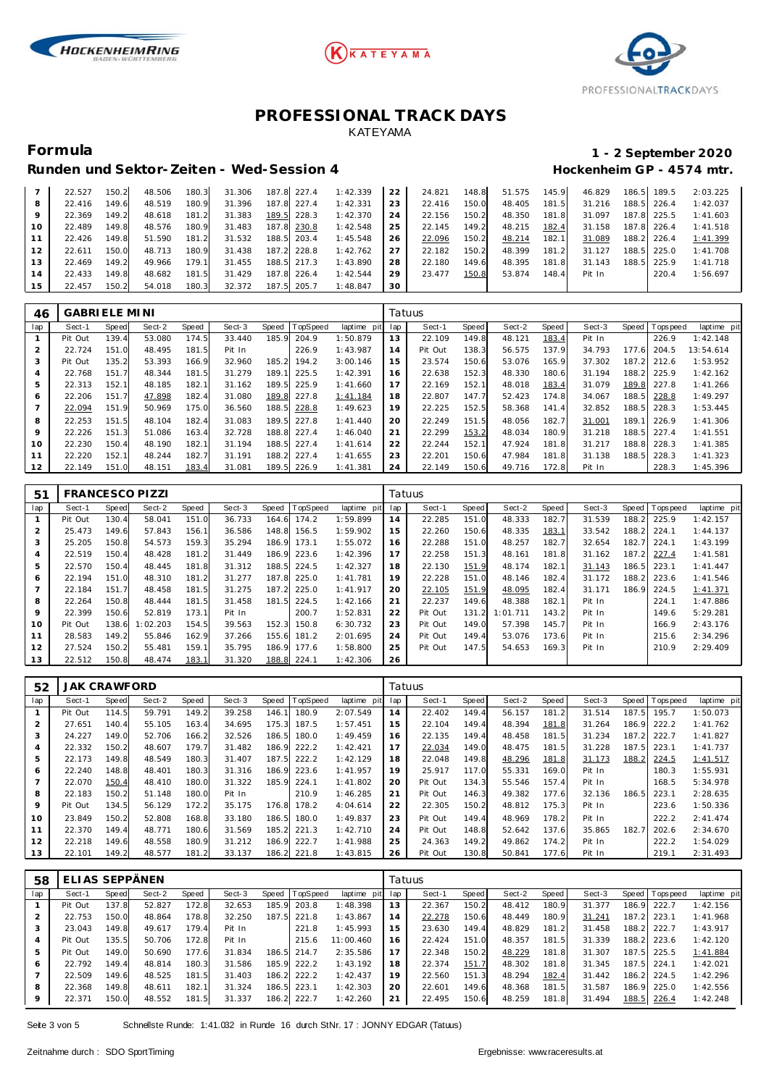





### Runden und Sektor-Zeiten - Wed-Session 4 **Behannen auch der Einer Freiere** Hockenheim GP - 4574 mtr.

## **Formula 1 - 2 September 2020**

|    | 22.527 | 150.2 | 48.506 | 180.3 | 31.306 |       | 187.8 227.4 | 1:42.339 | 22 | 24.821 | 148.8 | 51.575 | 145.9 | 46.829 | 186.5 | 189.5       | 2:03.225 |
|----|--------|-------|--------|-------|--------|-------|-------------|----------|----|--------|-------|--------|-------|--------|-------|-------------|----------|
| 8  | 22.416 | 149.6 | 48.519 | 180.9 | 31.396 | 187.8 | 227.4       | 1:42.331 | 23 | 22.416 | 150.0 | 48.405 | 181.5 | 31.216 | 188.5 | 226.4       | 1:42.037 |
|    | 22.369 | 149.2 | 48.618 | 181.2 | 31.383 | 189.5 | 228.3       | 1:42.370 | 24 | 22.156 | 150.2 | 48.350 | 181.8 | 31.097 |       | 187.8 225.5 | 1:41.603 |
| 10 | 22.489 | 149.8 | 48.576 | 180.9 | 31.483 |       | 187.8 230.8 | 1:42.548 | 25 | 22.145 | 149.2 | 48.215 | 182.4 | 31.158 |       | 187.8 226.4 | 1:41.518 |
|    | 22.426 | 149.8 | 51.590 | 181.2 | 31.532 |       | 188.5 203.4 | 1:45.548 | 26 | 22.096 | 150.2 | 48.214 | 182.1 | 31.089 |       | 188.2 226.4 | 1:41.399 |
| 12 | 22.611 | 150.0 | 48.713 | 180.9 | 31.438 | 187.2 | 228.8       | 1:42.762 | 27 | 22.182 | 150.2 | 48.399 | 181.2 | 31.127 | 188.5 | 225.0       | 1:41.708 |
| 13 | 22.469 | 149.2 | 49.966 | 179.1 | 31.455 |       | 188.5 217.3 | 1:43.890 | 28 | 22.180 | 149.6 | 48.395 | 181.8 | 31.143 | 188.5 | 225.9       | 1:41.718 |
| 14 | 22.433 | 149.8 | 48.682 | 181.5 | 31.429 | 187.8 | 226.4       | 1:42.544 | 29 | 23.477 | 150.8 | 53.874 | 148.4 | Pit In |       | 220.4       | 1:56.697 |
| 15 | 22.457 | 150.2 | 54.018 | 180.3 | 32.372 | 187.5 | 205.7       | 1:48.847 | 30 |        |       |        |       |        |       |             |          |

| 46  | GABRI ELE MI NI |              |        |       |        |       |                 |             | Tatuus |         |       |        |       |        |       |           |             |
|-----|-----------------|--------------|--------|-------|--------|-------|-----------------|-------------|--------|---------|-------|--------|-------|--------|-------|-----------|-------------|
| lap | Sect-1          | <b>Speed</b> | Sect-2 | Speed | Sect-3 | Speed | <b>TopSpeed</b> | laptime pit | lap    | Sect-1  | Speed | Sect-2 | Speed | Sect-3 | Speed | Tops peed | laptime pit |
|     | Pit Out         | 139.4        | 53.080 | 174.5 | 33.440 | 185.9 | 204.9           | 1:50.879    | 13     | 22.109  | 149.8 | 48.121 | 183.4 | Pit In |       | 226.9     | 1:42.148    |
| 2   | 22.724          | 151.0        | 48.495 | 181.5 | Pit In |       | 226.9           | 1:43.987    | 14     | Pit Out | 138.3 | 56.575 | 137.9 | 34.793 | 177.6 | 204.5     | 13:54.614   |
| 3   | Pit Out         | 135.2        | 53.393 | 166.9 | 32.960 | 185.2 | 194.2           | 3:00.146    | 15     | 23.574  | 150.6 | 53.076 | 165.9 | 37.302 | 187.2 | 212.6     | 1:53.952    |
| 4   | 22.768          | 151.7        | 48.344 | 181.5 | 31.279 | 189.1 | 225.5           | 1:42.391    | 16     | 22.638  | 152.3 | 48.330 | 180.6 | 31.194 | 188.2 | 225.9     | 1:42.162    |
| 5   | 22.313          | 152.1        | 48.185 | 182.1 | 31.162 | 189.5 | 225.9           | 1:41.660    | 17     | 22.169  | 152.1 | 48.018 | 183.4 | 31.079 | 189.8 | 227.8     | 1:41.266    |
| 6   | 22.206          | 151.7        | 47.898 | 182.4 | 31.080 | 189.8 | 227.8           | 1:41.184    | 18     | 22.807  | 147.7 | 52.423 | 174.8 | 34.067 | 188.5 | 228.8     | 1:49.297    |
|     | 22.094          | 151.9        | 50.969 | 175.0 | 36.560 | 188.5 | 228.8           | 1:49.623    | 19     | 22.225  | 152.5 | 58.368 | 141.4 | 32.852 | 188.5 | 228.3     | 1:53.445    |
| 8   | 22.253          | 151.5        | 48.104 | 182.4 | 31.083 | 189.5 | 227.8           | 1: 41.440   | 20     | 22.249  | 151.5 | 48.056 | 182.7 | 31.001 | 189.1 | 226.9     | 1:41.306    |
| 9   | 22.226          | 151.3        | 51.086 | 163.4 | 32.728 | 188.8 | 227.4           | 1:46.040    | 21     | 22.299  | 153.2 | 48.034 | 180.9 | 31.218 | 188.5 | 227.4     | 1:41.551    |
| 10  | 22.230          | 150.4        | 48.190 | 182.1 | 31.194 | 188.5 | 227.4           | 1:41.614    | 22     | 22.244  | 152.1 | 47.924 | 181.8 | 31.217 | 188.8 | 228.3     | 1:41.385    |
| 11  | 22.220          | 152.1        | 48.244 | 182.7 | 31.191 | 188.2 | 227.4           | 1:41.655    | 23     | 22.201  | 150.6 | 47.984 | 181.8 | 31.138 | 188.5 | 228.3     | 1:41.323    |
| 12  | 22.149          | 151.0        | 48.151 | 183.4 | 31.081 | 189.5 | 226.9           | 1:41.381    | 24     | 22.149  | 150.6 | 49.716 | 172.8 | Pit In |       | 228.3     | 1:45.396    |

| 51                |         |       | <b>FRANCESCO PIZZI</b> |       |        |       |             |             | Tatuus |         |       |          |       |        |       |                  |             |
|-------------------|---------|-------|------------------------|-------|--------|-------|-------------|-------------|--------|---------|-------|----------|-------|--------|-------|------------------|-------------|
| lap               | Sect-1  | Speed | Sect-2                 | Speed | Sect-3 | Speed | TopSpeed    | laptime pit | lap    | Sect-1  | Speed | Sect-2   | Speed | Sect-3 |       | Speed   Topspeed | laptime pit |
|                   | Pit Out | 130.4 | 58.041                 | 151.0 | 36.733 | 164.6 | 174.2       | 1:59.899    | 14     | 22.285  | 151.0 | 48.333   | 182.7 | 31.539 | 188.2 | 225.9            | 1:42.157    |
| $\overline{2}$    | 25.473  | 149.6 | 57.843                 | 156.1 | 36.586 | 148.8 | 156.5       | 1:59.902    | 15     | 22.260  | 150.6 | 48.335   | 183.1 | 33.542 | 188.2 | 224.1            | 1:44.137    |
| 3                 | 25.205  | 150.8 | 54.573                 | 159.3 | 35.294 | 186.9 | 173.1       | 1:55.072    | 16     | 22.288  | 151.0 | 48.257   | 182.7 | 32.654 | 182.7 | 224.1            | 1:43.199    |
| 4                 | 22.519  | 150.4 | 48.428                 | 181.2 | 31.449 | 186.9 | 223.6       | 1:42.396    | 17     | 22.258  | 151.3 | 48.161   | 181.8 | 31.162 | 187.2 | 227.4            | 1:41.581    |
| 5                 | 22.570  | 150.4 | 48.445                 | 181.8 | 31.312 | 188.5 | 224.5       | 1:42.327    | 18     | 22.130  | 151.9 | 48.174   | 182.1 | 31.143 | 186.5 | 223.1            | 1: 41.447   |
| 6                 | 22.194  | 151.0 | 48.310                 | 181.2 | 31.277 | 187.8 | 225.0       | 1: 41.781   | 19     | 22.228  | 151.0 | 48.146   | 182.4 | 31.172 | 188.2 | 223.6            | 1:41.546    |
|                   | 22.184  | 151.7 | 48.458                 | 181.5 | 31.275 |       | 187.2 225.0 | 1:41.917    | 20     | 22.105  | 151.9 | 48.095   | 182.4 | 31.171 | 186.9 | 224.5            | 1:41.371    |
| 8                 | 22.264  | 150.8 | 48.444                 | 181.5 | 31.458 | 181.5 | 224.5       | 1:42.166    | 21     | 22.237  | 149.6 | 48.388   | 182.1 | Pit In |       | 224.1            | 1:47.886    |
| 9                 | 22.399  | 150.6 | 52.819                 | 173.1 | Pit In |       | 200.7       | 1:52.831    | 22     | Pit Out | 131.2 | 1:01.711 | 143.2 | Pit In |       | 149.6            | 5:29.281    |
| 10                | Pit Out | 138.6 | 1:02.203               | 154.5 | 39.563 | 152.3 | 150.8       | 6:30.732    | 23     | Pit Out | 149.0 | 57.398   | 145.7 | Pit In |       | 166.9            | 2:43.176    |
| 11                | 28.583  | 149.2 | 55.846                 | 162.9 | 37.266 | 155.6 | 181.2       | 2:01.695    | 24     | Pit Out | 149.4 | 53.076   | 173.6 | Pit In |       | 215.6            | 2:34.296    |
| $12 \overline{ }$ | 27.524  | 150.2 | 55.481                 | 159.1 | 35.795 | 186.9 | 177.6       | 1:58.800    | 25     | Pit Out | 147.5 | 54.653   | 169.3 | Pit In |       | 210.9            | 2:29.409    |
| 13                | 22.512  | 150.8 | 48.474                 | 183.1 | 31.320 |       | 188.8 224.1 | 1:42.306    | 26     |         |       |          |       |        |       |                  |             |

| 52  | <b>JAK CRAWFORD</b> |       |        |       |        |       |         |             |     | Tatuus  |       |        |       |        |       |           |             |
|-----|---------------------|-------|--------|-------|--------|-------|---------|-------------|-----|---------|-------|--------|-------|--------|-------|-----------|-------------|
| lap | Sect-1              | Speed | Sect-2 | Speed | Sect-3 | Speed | opSpeed | laptime pit | lap | Sect-1  | Speed | Sect-2 | Speed | Sect-3 | Speed | Tops peed | laptime pit |
|     | Pit Out             | 114.5 | 59.791 | 149.2 | 39.258 | 146.1 | 180.9   | 2:07.549    | 14  | 22.402  | 149.4 | 56.157 | 181.2 | 31.514 | 187.5 | 195.7     | 1:50.073    |
| 2   | 27.651              | 140.4 | 55.105 | 163.4 | 34.695 | 175.3 | 187.5   | 1:57.451    | 15  | 22.104  | 149.4 | 48.394 | 181.8 | 31.264 | 186.9 | 222.2     | 1:41.762    |
| 3   | 24.227              | 149.0 | 52.706 | 166.2 | 32.526 | 186.5 | 180.0   | 1:49.459    | 16  | 22.135  | 149.4 | 48.458 | 181.5 | 31.234 | 187.2 | 222.7     | 1:41.827    |
| 4   | 22.332              | 150.2 | 48.607 | 179.7 | 31.482 | 186.9 | 222.2   | 1:42.421    | 17  | 22.034  | 149.0 | 48.475 | 181.5 | 31.228 | 187.5 | 223.1     | 1:41.737    |
| 5   | 22.173              | 149.8 | 48.549 | 180.3 | 31.407 | 187.5 | 222.2   | 1:42.129    | 18  | 22.048  | 149.8 | 48.296 | 181.8 | 31.173 | 188.2 | 224.5     | 1:41.517    |
| 6   | 22.240              | 148.8 | 48.401 | 180.3 | 31.316 | 186.9 | 223.6   | 1:41.957    | 19  | 25.917  | 117.0 | 55.331 | 169.0 | Pit In |       | 180.3     | 1:55.931    |
|     | 22.070              | 150.4 | 48.410 | 180.0 | 31.322 | 185.9 | 224.1   | 1:41.802    | 20  | Pit Out | 134.3 | 55.546 | 157.4 | Pit In |       | 168.5     | 5:34.978    |
| 8   | 22.183              | 150.2 | 51.148 | 180.0 | Pit In |       | 210.9   | 1:46.285    | 21  | Pit Out | 146.3 | 49.382 | 177.6 | 32.136 | 186.5 | 223.1     | 2:28.635    |
| 9   | Pit Out             | 134.5 | 56.129 | 172.2 | 35.175 | 176.8 | 178.2   | 4:04.614    | 22  | 22.305  | 150.2 | 48.812 | 175.3 | Pit In |       | 223.6     | 1:50.336    |
| 10  | 23.849              | 150.2 | 52.808 | 168.8 | 33.180 | 186.5 | 180.0   | 1:49.837    | 23  | Pit Out | 149.4 | 48.969 | 178.2 | Pit In |       | 222.2     | 2: 41.474   |
| 11  | 22.370              | 149.4 | 48.771 | 180.6 | 31.569 | 185.2 | 221.3   | 1:42.710    | 24  | Pit Out | 148.8 | 52.642 | 137.6 | 35.865 | 182.7 | 202.6     | 2:34.670    |
| 12  | 22.218              | 149.6 | 48.558 | 180.9 | 31.212 | 186.9 | 222.7   | 1:41.988    | 25  | 24.363  | 149.2 | 49.862 | 174.2 | Pit In |       | 222.2     | 1:54.029    |
| 13  | 22.101              | 149.2 | 48.577 | 181.2 | 33.137 | 186.2 | 221.8   | 1:43.815    | 26  | Pit Out | 130.8 | 50.841 | 177.6 | Pit In |       | 219.1     | 2:31.493    |

| 58             | ELIAS SEPPÄNEN |       |        |       |        |       |                 |             |     | Tatuus |       |        |       |        |       |                 |             |
|----------------|----------------|-------|--------|-------|--------|-------|-----------------|-------------|-----|--------|-------|--------|-------|--------|-------|-----------------|-------------|
| lap            | Sect-1         | Speed | Sect-2 | Speed | Sect-3 | Speed | <b>TopSpeed</b> | laptime pit | lap | Sect-1 | Speed | Sect-2 | Speed | Sect-3 |       | Speed Tops peed | laptime pit |
|                | Pit Out        | 137.8 | 52.827 | 172.8 | 32.653 | 185.9 | 203.8           | 1:48.398    | 13  | 22.367 | 150.2 | 48.412 | 180.9 | 31.377 | 186.9 | 222.7           | 1:42.156    |
|                | 22.753         | 150.0 | 48.864 | 178.8 | 32.250 | 187.5 | 221.8           | 1:43.867    | 14  | 22.278 | 150.6 | 48.449 | 180.9 | 31.241 |       | 187.2 223.1     | 1:41.968    |
| 3              | 23.043         | 149.8 | 49.617 | 179.4 | Pit In |       | 221.8           | 1:45.993    | 15  | 23.630 | 149.4 | 48.829 | 181.2 | 31.458 |       | 188.2 222.7     | 1:43.917    |
| $\overline{4}$ | Pit Out        | 135.5 | 50.706 | 172.8 | Pit In |       | 215.6           | 11:00.460   | 16  | 22.424 | 151.0 | 48.357 | 181.5 | 31.339 |       | 188.2 223.6     | 1:42.120    |
| 5              | Pit Out        | 149.0 | 50.690 | 177.6 | 31.834 | 186.5 | 214.7           | 2:35.586    |     | 22.348 | 150.2 | 48.229 | 181.8 | 31.307 | 187.5 | 225.5           | 1:41.884    |
| 6              | 22.792         | 149.4 | 48.814 | 180.3 | 31.586 | 185.9 | 222.2           | 1:43.192    | 18  | 22.374 | 151.7 | 48.302 | 181.8 | 31.345 |       | 187.5 224.1     | 1:42.021    |
|                | 22.509         | 149.6 | 48.525 | 181.5 | 31.403 | 186.2 | 222.2           | 1:42.437    | 19  | 22.560 | 151.3 | 48.294 | 182.4 | 31.442 |       | 186.2 224.5     | 1:42.296    |
| 8              | 22.368         | 149.8 | 48.611 | 182.1 | 31.324 | 186.5 | 223.1           | 1:42.303    | 20  | 22.601 | 149.6 | 48.368 | 181.5 | 31.587 |       | 186.9 225.0     | 1:42.556    |
| 9              | 22.371         | 150.0 | 48.552 | 181.5 | 31.337 | 186.2 | 222.7           | 1:42.260    | 21  | 22.495 | 150.6 | 48.259 | 181.8 | 31.494 |       | 188.5 226.4     | 1:42.248    |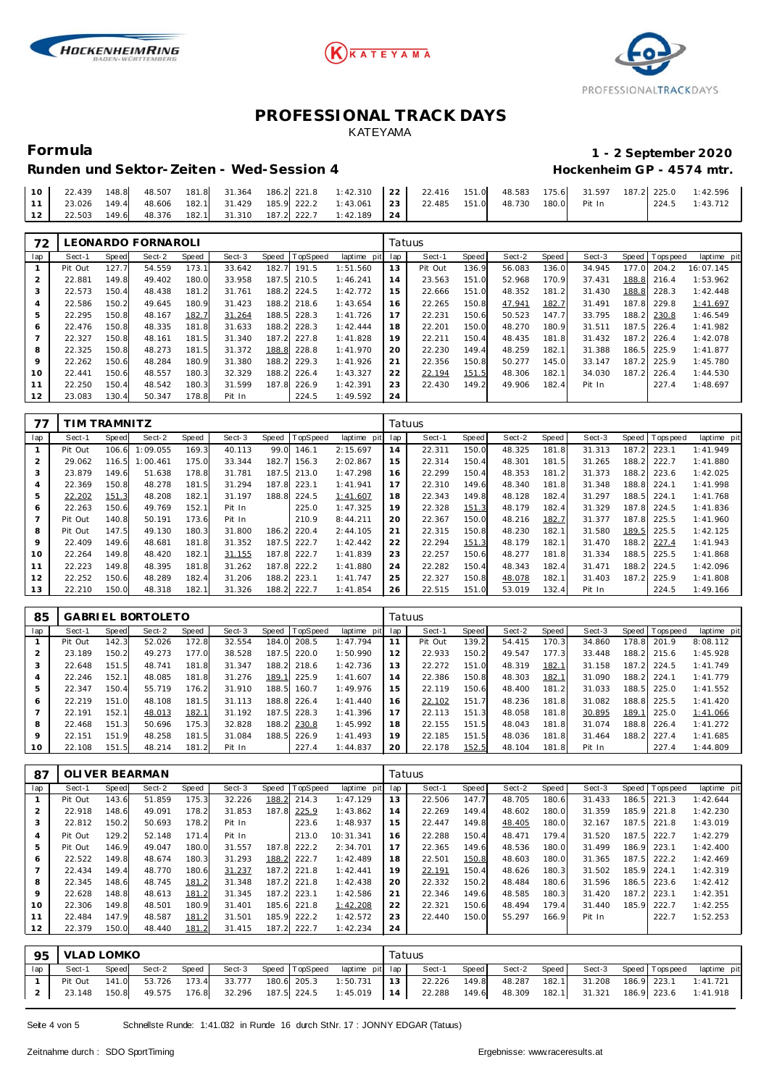





# **Formula 1 - 2 September 2020**

#### Runden und Sektor-Zeiten - Wed-Session 4 **Behannen auch der Einer Freiere** Hockenheim GP - 4574 mtr.

|  |  |  |  | 1 1 23.026 149.4 48.606 182.1 31.429 185.9 222.2 1:43.061 23 22.485 151.0 48.730 180.0 Pit In |  |  |  |  | $1224.5$ 1:43.712 |
|--|--|--|--|-----------------------------------------------------------------------------------------------|--|--|--|--|-------------------|
|  |  |  |  | 12   22.503 149.6 48.376 182.1 31.310 187.2 222.7 1:42.189   24                               |  |  |  |  |                   |

| 72  |         |              | LEONARDO FORNAROLI |       |        |       |                 |             | Tatuus |         |       |        |       |        |              |           |             |
|-----|---------|--------------|--------------------|-------|--------|-------|-----------------|-------------|--------|---------|-------|--------|-------|--------|--------------|-----------|-------------|
| lap | Sect-1  | <b>Speed</b> | Sect-2             | Speed | Sect-3 | Speed | <b>TopSpeed</b> | laptime pit | lap    | Sect-1  | Speed | Sect-2 | Speed | Sect-3 | <b>Speed</b> | Tops peed | laptime pit |
|     | Pit Out | 127.7        | 54.559             | 173.1 | 33.642 | 182.7 | 191.5           | 1:51.560    | 13     | Pit Out | 136.9 | 56.083 | 136.0 | 34.945 | 177.0        | 204.2     | 16:07.145   |
|     | 22.881  | 149.8        | 49.402             | 180.0 | 33.958 | 187.5 | 210.5           | 1:46.241    | 14     | 23.563  | 151.0 | 52.968 | 170.9 | 37.431 | 188.8        | 216.4     | 1:53.962    |
| 3   | 22.573  | 150.4        | 48.438             | 181.2 | 31.761 | 188.2 | 224.5           | 1:42.772    | 15     | 22.666  | 151.0 | 48.352 | 181.2 | 31.430 | 188.8        | 228.3     | 1:42.448    |
|     | 22.586  | 150.2        | 49.645             | 180.9 | 31.423 | 188.2 | 218.6           | 1:43.654    | 16     | 22.265  | 150.8 | 47.941 | 182.7 | 31.491 | 187.8        | 229.8     | 1:41.697    |
| 5   | 22.295  | 150.8        | 48.167             | 182.7 | 31.264 | 188.5 | 228.3           | 1:41.726    | 17     | 22.231  | 150.6 | 50.523 | 147.7 | 33.795 | 188.2        | 230.8     | 1:46.549    |
| 6   | 22.476  | 150.8        | 48.335             | 181.8 | 31.633 | 188.2 | 228.3           | 1:42.444    | 18     | 22.201  | 150.0 | 48.270 | 180.9 | 31.511 | 187.5        | 226.4     | 1:41.982    |
|     | 22.327  | 150.8        | 48.161             | 181.5 | 31.340 | 187.2 | 227.8           | 1:41.828    | 19     | 22.211  | 150.4 | 48.435 | 181.8 | 31.432 | 187.2        | 226.4     | 1:42.078    |
| 8   | 22.325  | 150.8        | 48.273             | 181.5 | 31.372 | 188.8 | 228.8           | 1:41.970    | 20     | 22.230  | 149.4 | 48.259 | 182.1 | 31.388 | 186.5        | 225.9     | 1:41.877    |
| 9   | 22.262  | 150.6        | 48.284             | 180.9 | 31.380 | 188.2 | 229.3           | 1:41.926    | 21     | 22.356  | 150.8 | 50.277 | 145.0 | 33.147 | 187.2        | 225.9     | 1:45.780    |
| 10  | 22.441  | 150.6        | 48.557             | 180.3 | 32.329 | 188.2 | 226.4           | 1:43.327    | 22     | 22.194  | 151.5 | 48.306 | 182.1 | 34.030 | 187.2        | 226.4     | 1:44.530    |
| 11  | 22.250  | 150.4        | 48.542             | 180.3 | 31.599 | 187.8 | 226.9           | 1:42.391    | 23     | 22.430  | 149.2 | 49.906 | 182.4 | Pit In |              | 227.4     | 1:48.697    |
| 12  | 23.083  | 130.4        | 50.347             | 178.8 | Pit In |       | 224.5           | 1:49.592    | 24     |         |       |        |       |        |              |           |             |

| 77             |         | TIM TRAMNITZ |          |       |        |       |          |             | Tatuus |        |       |        |       |        |       |           |             |
|----------------|---------|--------------|----------|-------|--------|-------|----------|-------------|--------|--------|-------|--------|-------|--------|-------|-----------|-------------|
| lap            | Sect-1  | <b>Speed</b> | Sect-2   | Speed | Sect-3 | Speed | TopSpeed | laptime pit | lap    | Sect-1 | Speed | Sect-2 | Speed | Sect-3 | Speed | Tops peed | laptime pit |
|                | Pit Out | 106.6        | :09.055  | 169.3 | 40.113 | 99.0  | 146.1    | 2:15.697    | 14     | 22.311 | 150.0 | 48.325 | 181.8 | 31.313 | 187.2 | 223.1     | 1:41.949    |
| $\overline{2}$ | 29.062  | 116.5        | : 00.461 | 175.0 | 33.344 | 182.7 | 156.3    | 2:02.867    | 15     | 22.314 | 150.4 | 48.301 | 181.5 | 31.265 | 188.2 | 222.7     | 1:41.880    |
| 3              | 23.879  | 149.6        | 51.638   | 178.8 | 31.781 | 187.5 | 213.0    | 1:47.298    | 16     | 22.299 | 150.4 | 48.353 | 181.2 | 31.373 | 188.2 | 223.6     | 1:42.025    |
| 4              | 22.369  | 150.8        | 48.278   | 181.5 | 31.294 | 187.8 | 223.1    | 1: 41.941   | 17     | 22.310 | 149.6 | 48.340 | 181.8 | 31.348 | 188.8 | 224.1     | 1:41.998    |
| 5              | 22.202  | 151.3        | 48.208   | 182.1 | 31.197 | 188.8 | 224.5    | 1:41.607    | 18     | 22.343 | 149.8 | 48.128 | 182.4 | 31.297 | 188.5 | 224.1     | 1:41.768    |
| 6              | 22.263  | 150.6        | 49.769   | 152.1 | Pit In |       | 225.0    | 1:47.325    | 19     | 22.328 | 151.3 | 48.179 | 182.4 | 31.329 | 187.8 | 224.5     | 1:41.836    |
|                | Pit Out | 140.8        | 50.191   | 173.6 | Pit In |       | 210.9    | 8:44.211    | 20     | 22.367 | 150.0 | 48.216 | 182.7 | 31.377 | 187.8 | 225.5     | 1:41.960    |
| 8              | Pit Out | 147.5        | 49.130   | 180.3 | 31.800 | 186.2 | 220.4    | 2:44.105    | 21     | 22.315 | 150.8 | 48.230 | 182.1 | 31.580 | 189.5 | 225.5     | 1:42.125    |
| 9              | 22.409  | 149.6        | 48.681   | 181.8 | 31.352 | 187.5 | 222.7    | 1:42.442    | 22     | 22.294 | 151.3 | 48.179 | 182.1 | 31.470 | 188.2 | 227.4     | 1:41.943    |
| 10             | 22.264  | 149.8        | 48.420   | 182.1 | 31.155 | 187.8 | 222.7    | 1:41.839    | 23     | 22.257 | 150.6 | 48.277 | 181.8 | 31.334 | 188.5 | 225.5     | 1:41.868    |
| 11             | 22.223  | 149.8        | 48.395   | 181.8 | 31.262 | 187.8 | 222.2    | 1:41.880    | 24     | 22.282 | 150.4 | 48.343 | 182.4 | 31.471 | 188.2 | 224.5     | 1:42.096    |
| 12             | 22.252  | 150.6        | 48.289   | 182.4 | 31.206 | 188.2 | 223.1    | 1:41.747    | 25     | 22.327 | 150.8 | 48.078 | 182.1 | 31.403 | 187.2 | 225.9     | 1:41.808    |
| 13             | 22.210  | 150.0        | 48.318   | 182.1 | 31.326 | 188.2 | 222.7    | 1:41.854    | 26     | 22.515 | 151.0 | 53.019 | 132.4 | Pit In |       | 224.5     | 1:49.166    |

| 85             |         |       | GABRIEL BORTOLETO |       |        |       |                |             |     | Tatuus  |       |        |       |        |       |                   |             |
|----------------|---------|-------|-------------------|-------|--------|-------|----------------|-------------|-----|---------|-------|--------|-------|--------|-------|-------------------|-------------|
| lap            | Sect-1  | Speed | Sect-2            | Speed | Sect-3 |       | Speed TopSpeed | laptime pit | lap | Sect-1  | Speed | Sect-2 | Speed | Sect-3 |       | Speed   Tops peed | laptime pit |
|                | Pit Out | 142.3 | 52.026            | 172.8 | 32.554 | 184.0 | 208.5          | 1:47.794    | 11  | Pit Out | 139.2 | 54.415 | 170.3 | 34.860 | 178.8 | 201.9             | 8:08.112    |
| 2              | 23.189  | 150.2 | 49.273            | 177.0 | 38.528 | 187.5 | 220.0          | 1:50.990    | 12  | 22.933  | 150.2 | 49.547 | 177.3 | 33.448 | 188.2 | 215.6             | 1:45.928    |
| 3              | 22.648  | 151.5 | 48.741            | 181.8 | 31.347 | 188.2 | 218.6          | 1:42.736    | 13  | 22.272  | 151.0 | 48.319 | 182.1 | 31.158 | 187.2 | 224.5             | 1:41.749    |
| $\overline{4}$ | 22.246  | 152.1 | 48.085            | 181.8 | 31.276 | 189.1 | 225.9          | 1:41.607    | 14  | 22.386  | 150.8 | 48.303 | 182.1 | 31.090 | 188.2 | 224.1             | 1:41.779    |
| 5              | 22.347  | 150.4 | 55.719            | 176.2 | 31.910 | 188.5 | 160.7          | 1:49.976    | 15  | 22.119  | 150.6 | 48.400 | 181.2 | 31.033 | 188.5 | 225.0             | 1:41.552    |
| 6              | 22.219  | 151.0 | 48.108            | 181.5 | 31.113 | 188.8 | 226.4          | 1: 41.440   | 16  | 22.102  | 151.7 | 48.236 | 181.8 | 31.082 | 188.8 | 225.5             | 1:41.420    |
| $\overline{7}$ | 22.191  | 152.1 | 48.013            | 182.1 | 31.192 | 187.5 | 228.3          | 1:41.396    | 17  | 22.113  | 151.3 | 48.058 | 181.8 | 30.895 | 189.1 | 225.0             | 1:41.066    |
| 8              | 22.468  | 151.3 | 50.696            | 175.3 | 32.828 | 188.2 | 230.8          | 1:45.992    | 18  | 22.155  | 151.5 | 48.043 | 181.8 | 31.074 | 188.8 | 226.4             | 1:41.272    |
| 9              | 22.151  | 151.9 | 48.258            | 181.5 | 31.084 | 188.5 | 226.9          | 1:41.493    | 19  | 22.185  | 151.5 | 48.036 | 181.8 | 31.464 | 188.2 | 227.4             | 1:41.685    |
| 10             | 22.108  | 151.5 | 48.214            | 181.2 | Pit In |       | 227.4          | 1:44.837    | 20  | 22.178  | 152.5 | 48.104 | 181.8 | Pit In |       | 227.4             | 1:44.809    |

| 87  |         |       | OLI VER BEARMAN |       |        |       |                 |             |     | Tatuus |       |        |       |        |       |                 |             |
|-----|---------|-------|-----------------|-------|--------|-------|-----------------|-------------|-----|--------|-------|--------|-------|--------|-------|-----------------|-------------|
| lap | Sect-1  | Speed | Sect-2          | Speed | Sect-3 | Speed | <b>TopSpeed</b> | laptime pit | lap | Sect-1 | Speed | Sect-2 | Speed | Sect-3 |       | Speed Tops peed | laptime pit |
|     | Pit Out | 143.6 | 51.859          | 175.3 | 32.226 | 188.2 | 214.3           | 1:47.129    | 13  | 22.506 | 147.7 | 48.705 | 180.6 | 31.433 | 186.5 | 221.3           | 1:42.644    |
|     | 22.918  | 148.6 | 49.091          | 178.2 | 31.853 | 187.8 | 225.9           | 1:43.862    | 14  | 22.269 | 149.4 | 48.602 | 180.0 | 31.359 | 185.9 | 221.8           | 1:42.230    |
| 3   | 22.812  | 150.2 | 50.693          | 178.2 | Pit In |       | 223.6           | 1:48.937    | 15  | 22.447 | 149.8 | 48.405 | 180.0 | 32.167 | 187.5 | 221.8           | 1:43.019    |
| 4   | Pit Out | 129.2 | 52.148          | 171.4 | Pit In |       | 213.0           | 10:31.341   | 16  | 22.288 | 150.4 | 48.471 | 179.4 | 31.520 | 187.5 | 222.7           | 1:42.279    |
| 5   | Pit Out | 146.9 | 49.047          | 180.0 | 31.557 | 187.8 | 222.2           | 2:34.701    | 17  | 22.365 | 149.6 | 48.536 | 180.0 | 31.499 | 186.9 | 223.1           | 1:42.400    |
| 6   | 22.522  | 149.8 | 48.674          | 180.3 | 31.293 | 188.2 | 222.7           | 1:42.489    | 18  | 22.501 | 150.8 | 48.603 | 180.0 | 31.365 | 187.5 | 222.2           | 1:42.469    |
|     | 22.434  | 149.4 | 48.770          | 180.6 | 31.237 | 187.2 | 221.8           | 1:42.441    | 19  | 22.191 | 150.4 | 48.626 | 180.3 | 31.502 | 185.9 | 224.1           | 1:42.319    |
| 8   | 22.345  | 148.6 | 48.745          | 181.2 | 31.348 | 187.2 | 221.8           | 1:42.438    | 20  | 22.332 | 150.2 | 48.484 | 180.6 | 31.596 | 186.5 | 223.6           | 1:42.412    |
| 9   | 22.628  | 148.8 | 48.613          | 181.2 | 31.345 | 187.2 | 223.1           | 1:42.586    | 21  | 22.346 | 149.6 | 48.585 | 180.3 | 31.420 | 187.2 | 223.1           | 1:42.351    |
| 10  | 22.306  | 149.8 | 48.501          | 180.9 | 31.401 | 185.6 | 221.8           | 1:42.208    | 22  | 22.321 | 150.6 | 48.494 | 179.4 | 31.440 | 185.9 | 222.7           | 1:42.255    |
| 11  | 22.484  | 147.9 | 48.587          | 181.2 | 31.501 | 185.9 | 222.2           | 1:42.572    | 23  | 22.440 | 150.0 | 55.297 | 166.9 | Pit In |       | 222.7           | 1:52.253    |
| 12  | 22.379  | 150.0 | 48.440          | 181.2 | 31.415 | 187.2 | 222.7           | 1:42.234    | 24  |        |       |        |       |        |       |                 |             |

| 95  | VLAD LOMKO |       |        |       |  |                                                                                                                | Tatuus |  |                    |                                   |                       |             |
|-----|------------|-------|--------|-------|--|----------------------------------------------------------------------------------------------------------------|--------|--|--------------------|-----------------------------------|-----------------------|-------------|
| lap | Sect-1     | Speed | Sect-2 | Speed |  | Sect-3 Speed TopSpeed laptime pit lap Sect-1                                                                   |        |  | Speed Sect-2 Speed |                                   | Sect-3 Speed Topspeed | laptime pit |
|     | Pit Out    |       |        |       |  | 141.0 53.726 173.4 33.777 180.6 205.3 1:50.731 13 22.226 149.8 48.287                                          |        |  |                    | 182.1 31.208 186.9 223.1 1:41.721 |                       |             |
|     |            |       |        |       |  | 23.148 150.8 49.575 176.8 32.296 187.5 224.5 1:45.019 14 22.288 149.6 48.309 182.1 31.321 186.9 223.6 1:41.918 |        |  |                    |                                   |                       |             |

Seite 4 von 5 Schnellste Runde: 1:41.032 in Runde 16 durch StNr. 17 : JONNY EDGAR (Tatuus)